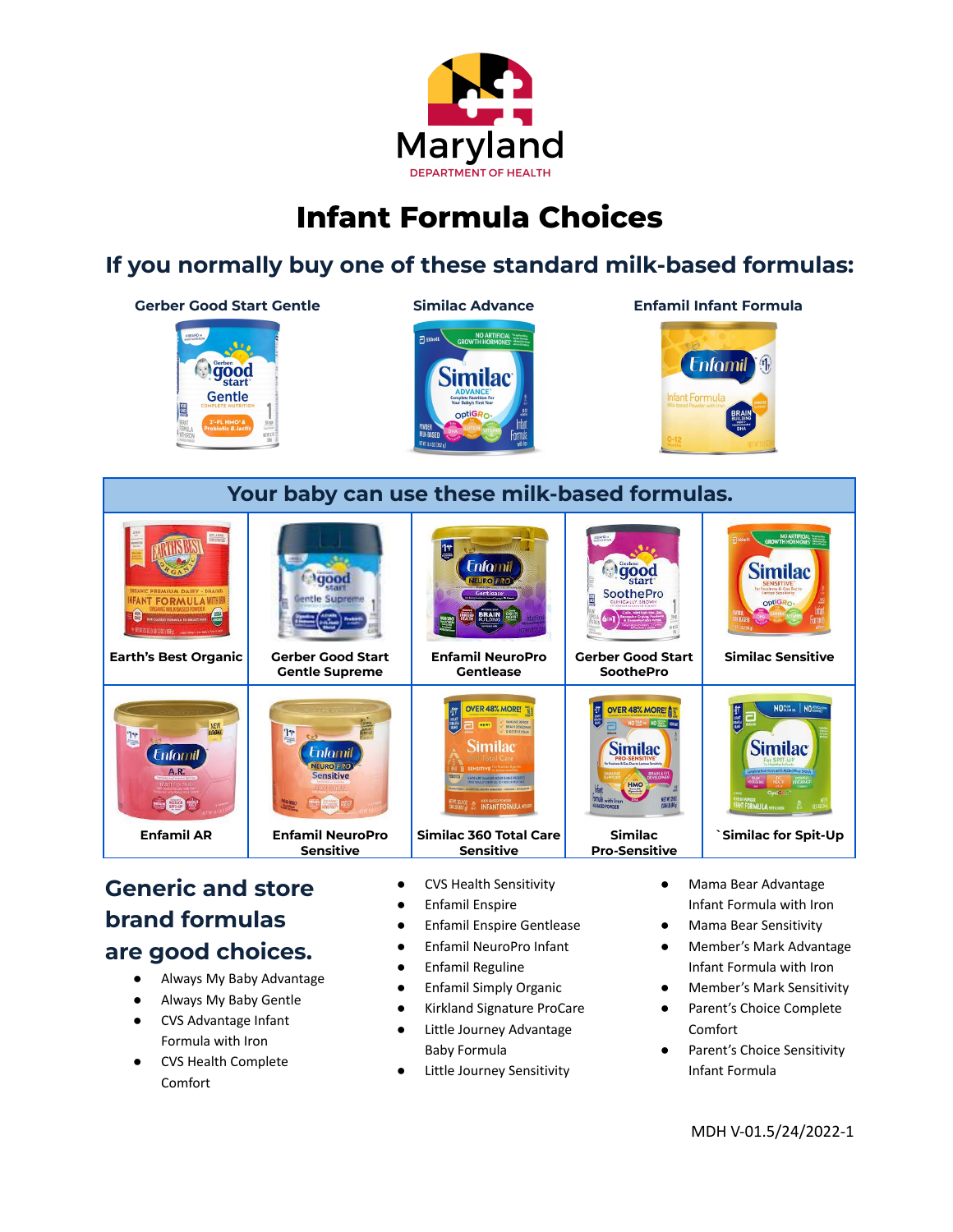

## **Infant Formula Choices**

## **If you normally buy one of these standard milk-based formulas:**





## **Generic and store brand formulas are good choices.**

- Always My Baby Advantage
- Always My Baby Gentle
- CVS Advantage Infant Formula with Iron
- CVS Health Complete Comfort
- CVS Health Sensitivity
- Enfamil Enspire
- Enfamil Enspire Gentlease
- Enfamil NeuroPro Infant
- Enfamil Reguline
- Enfamil Simply Organic
- Kirkland Signature ProCare
- Little Journey Advantage Baby Formula
- Little Journey Sensitivity
- Mama Bear Advantage Infant Formula with Iron
- **Mama Bear Sensitivity**
- Member's Mark Advantage Infant Formula with Iron
- Member's Mark Sensitivity
- Parent's Choice Complete Comfort
- Parent's Choice Sensitivity Infant Formula